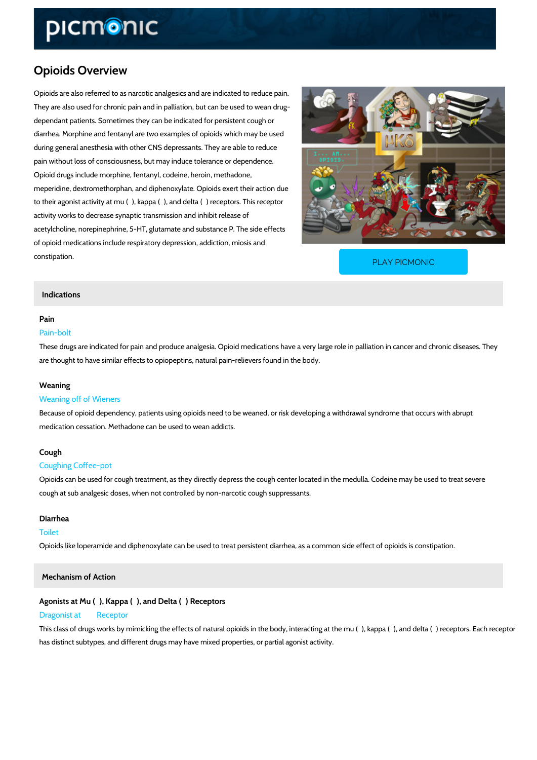# Opioids Overview

Opioids are also referred to as narcotic analgesics and are indicated to reduce pain. They are also used for chronic pain and in palliation, but can be used to wean drug dependant patients. Sometimes they can be indicated for persistent cough or diarrhea. Morphine and fentanyl are two examples of opioids which may be used during general anesthesia with other CNS depressants. They are able to reduce pain without loss of consciousness, but may induce tolerance or dependence. Opioid drugs include morphine, fentanyl, codeine, heroin, methadone, meperidine, dextromethorphan, and diphenoxylate. Opioids exert their action due to their agonist activity at mu (¼), kappa (š), and delta (´) receptors. This receptor activity works to decrease synaptic transmission and inhibit release of acetylcholine, norepinephrine, 5-HT, glutamate and substance P. The side effects of opioid medications include respiratory depression, addiction, miosis and constipation. [PLAY PICMONIC](https://www.picmonic.com/learn/opioids_1182?utm_source=downloadable_content&utm_medium=distributedcontent&utm_campaign=pathways_pdf&utm_content=Opioids Overview&utm_ad_group=leads&utm_market=all)

# Indications

### Pain

## Pain-bolt

These drugs are indicated for pain and produce analgesia. Opioid medications have a very lar are thought to have similar effects to opiopeptins, natural pain-relievers found in the body.

### Weaning

### Weaning off of Wieners

Because of opioid dependency, patients using opioids need to be weaned, or risk developing a medication cessation. Methadone can be used to wean addicts.

## Cough

### Coughing Coffee-pot

Opioids can be used for cough treatment, as they directly depress the cough center located in cough at sub analgesic doses, when not controlled by non-narcotic cough suppressants.

### Diarrhea

### Toilet

Opioids like loperamide and diphenoxylate can be used to treat persistent diarrhea, as a comr

# Mechanism of Action

Agonists at Mu (¼), Kappa (š), and Delta (´) Receptors Dragonist at ¼š´ Receptor This class of drugs works by mimicking the effects of natural opioids in the body, interacting has distinct subtypes, and different drugs may have mixed properties, or partial agonist activ